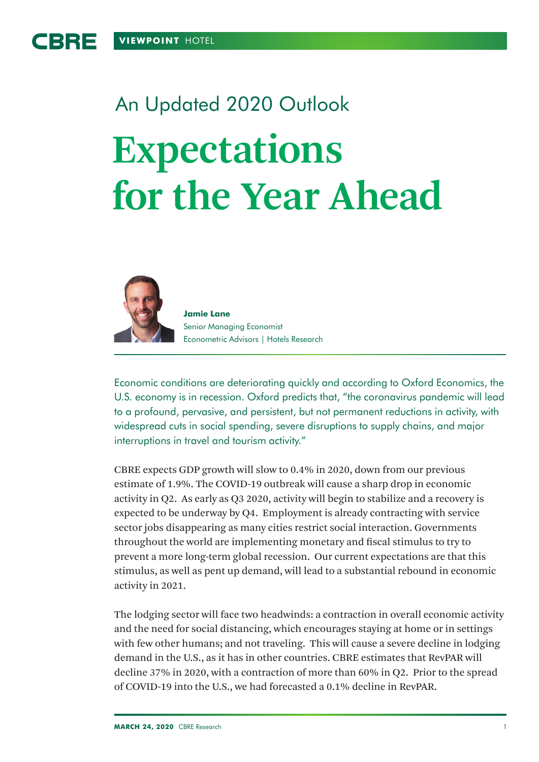# An Updated 2020 Outlook **Expectations for the Year Ahead**



**Jamie Lane** Senior Managing Economist Econometric Advisors | Hotels Research

Economic conditions are deteriorating quickly and according to Oxford Economics, the U.S. economy is in recession. Oxford predicts that, "the coronavirus pandemic will lead to a profound, pervasive, and persistent, but not permanent reductions in activity, with widespread cuts in social spending, severe disruptions to supply chains, and major interruptions in travel and tourism activity."

CBRE expects GDP growth will slow to 0.4% in 2020, down from our previous estimate of 1.9%. The COVID-19 outbreak will cause a sharp drop in economic activity in Q2. As early as Q3 2020, activity will begin to stabilize and a recovery is expected to be underway by Q4. Employment is already contracting with service sector jobs disappearing as many cities restrict social interaction. Governments throughout the world are implementing monetary and fiscal stimulus to try to prevent a more long-term global recession. Our current expectations are that this stimulus, as well as pent up demand, will lead to a substantial rebound in economic activity in 2021.

The lodging sector will face two headwinds: a contraction in overall economic activity and the need for social distancing, which encourages staying at home or in settings with few other humans; and not traveling. This will cause a severe decline in lodging demand in the U.S., as it has in other countries. CBRE estimates that RevPAR will decline 37% in 2020, with a contraction of more than 60% in Q2. Prior to the spread of COVID-19 into the U.S., we had forecasted a 0.1% decline in RevPAR.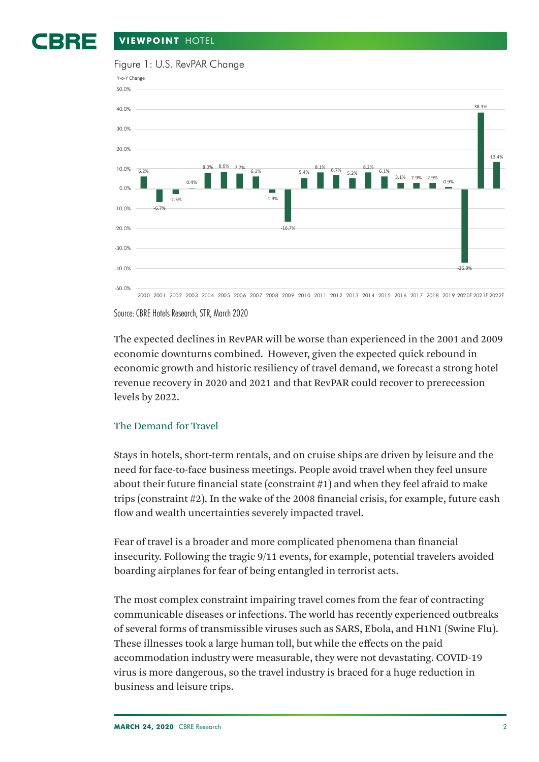#### BBE **VIEWPOINT** HOTEL



### Figure 1: U.S. RevPAR Change



Source: CBRE Hotels Research, STR, March 2020

The expected declines in RevPAR will be worse than experienced in the 2001 and 2009 economic downturns combined. However, given the expected quick rebound in economic growth and historic resiliency of travel demand, we forecast a strong hotel revenue recovery in 2020 and 2021 and that RevPAR could recover to prerecession levels by 2022.

# The Demand for Travel

Stays in hotels, short-term rentals, and on cruise ships are driven by leisure and the need for face-to-face business meetings. People avoid travel when they feel unsure about their future financial state (constraint #1) and when they feel afraid to make trips (constraint #2). In the wake of the 2008 financial crisis, for example, future cash flow and wealth uncertainties severely impacted travel.

Fear of travel is a broader and more complicated phenomena than financial insecurity. Following the tragic 9/11 events, for example, potential travelers avoided boarding airplanes for fear of being entangled in terrorist acts.

The most complex constraint impairing travel comes from the fear of contracting communicable diseases or infections. The world has recently experienced outbreaks of several forms of transmissible viruses such as SARS, Ebola, and H1N1 (Swine Flu). These illnesses took a large human toll, but while the effects on the paid accommodation industry were measurable, they were not devastating. COVID-19 virus is more dangerous, so the travel industry is braced for a huge reduction in business and leisure trips.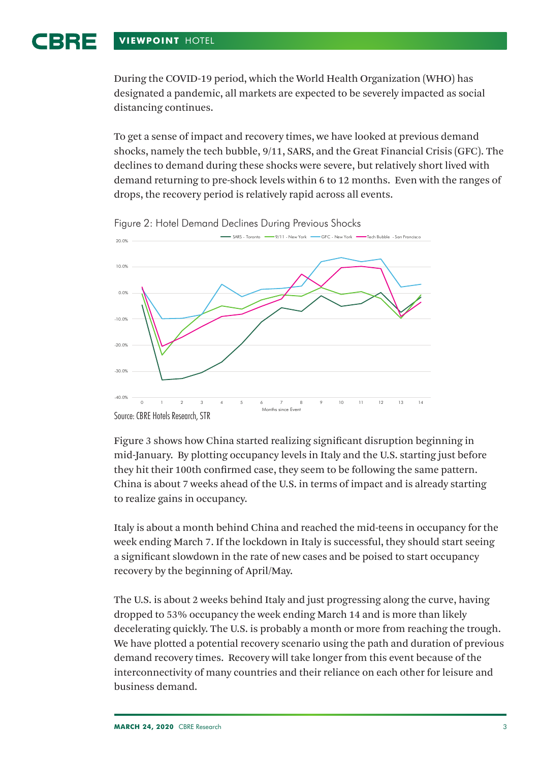#### 1BRE **VIEWPOINT** HOTEL

During the COVID-19 period, which the World Health Organization (WHO) has designated a pandemic, all markets are expected to be severely impacted as social distancing continues.

To get a sense of impact and recovery times, we have looked at previous demand shocks, namely the tech bubble, 9/11, SARS, and the Great Financial Crisis (GFC). The declines to demand during these shocks were severe, but relatively short lived with demand returning to pre-shock levels within 6 to 12 months. Even with the ranges of drops, the recovery period is relatively rapid across all events.



Figure 2: Hotel Demand Declines During Previous Shocks

Source: CBRE Hotels Research, STR

Figure 3 shows how China started realizing significant disruption beginning in mid-January. By plotting occupancy levels in Italy and the U.S. starting just before they hit their 100th confirmed case, they seem to be following the same pattern. China is about 7 weeks ahead of the U.S. in terms of impact and is already starting to realize gains in occupancy.

Italy is about a month behind China and reached the mid-teens in occupancy for the week ending March 7. If the lockdown in Italy is successful, they should start seeing a significant slowdown in the rate of new cases and be poised to start occupancy recovery by the beginning of April/May.

The U.S. is about 2 weeks behind Italy and just progressing along the curve, having dropped to 53% occupancy the week ending March 14 and is more than likely decelerating quickly. The U.S. is probably a month or more from reaching the trough. We have plotted a potential recovery scenario using the path and duration of previous demand recovery times. Recovery will take longer from this event because of the interconnectivity of many countries and their reliance on each other for leisure and business demand.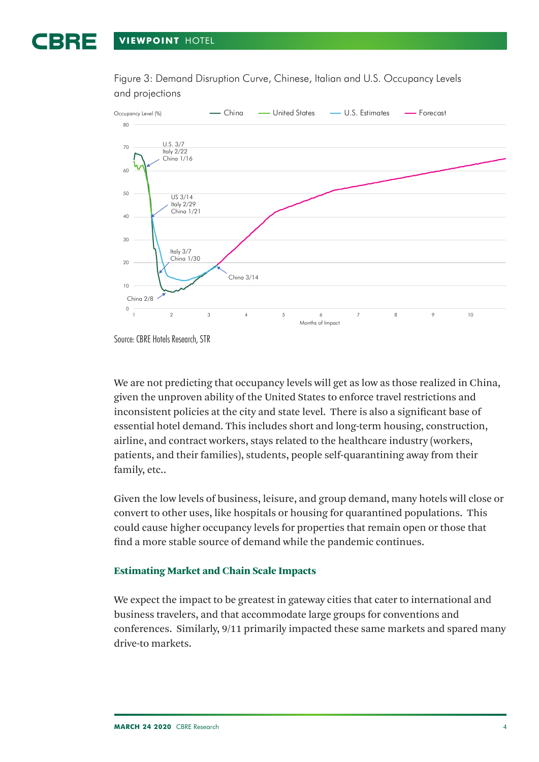Figure 3: Demand Disruption Curve, Chinese, Italian and U.S. Occupancy Levels and projections



Source: CBRE Hotels Research, STR

We are not predicting that occupancy levels will get as low as those realized in China, given the unproven ability of the United States to enforce travel restrictions and inconsistent policies at the city and state level. There is also a significant base of essential hotel demand. This includes short and long-term housing, construction, airline, and contract workers, stays related to the healthcare industry (workers, patients, and their families), students, people self-quarantining away from their family, etc..

Given the low levels of business, leisure, and group demand, many hotels will close or convert to other uses, like hospitals or housing for quarantined populations. This could cause higher occupancy levels for properties that remain open or those that find a more stable source of demand while the pandemic continues.

## Estimating Market and Chain Scale Impacts

We expect the impact to be greatest in gateway cities that cater to international and business travelers, and that accommodate large groups for conventions and conferences. Similarly, 9/11 primarily impacted these same markets and spared many drive-to markets.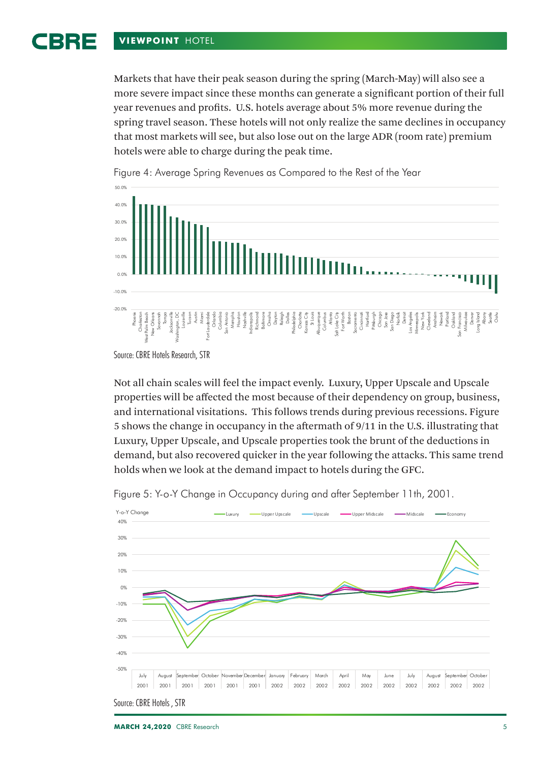#### BBE **VIEWPOINT** HOTEL

Markets that have their peak season during the spring (March-May) will also see a more severe impact since these months can generate a significant portion of their full year revenues and profits. U.S. hotels average about 5% more revenue during the spring travel season. These hotels will not only realize the same declines in occupancy that most markets will see, but also lose out on the large ADR (room rate) premium hotels were able to charge during the peak time.



Figure 4: Average Spring Revenues as Compared to the Rest of the Year

Not all chain scales will feel the impact evenly. Luxury, Upper Upscale and Upscale properties will be affected the most because of their dependency on group, business, and international visitations. This follows trends during previous recessions. Figure 5 shows the change in occupancy in the aftermath of 9/11 in the U.S. illustrating that Luxury, Upper Upscale, and Upscale properties took the brunt of the deductions in demand, but also recovered quicker in the year following the attacks. This same trend holds when we look at the demand impact to hotels during the GFC.





Source: CBRE Hotels Research, STR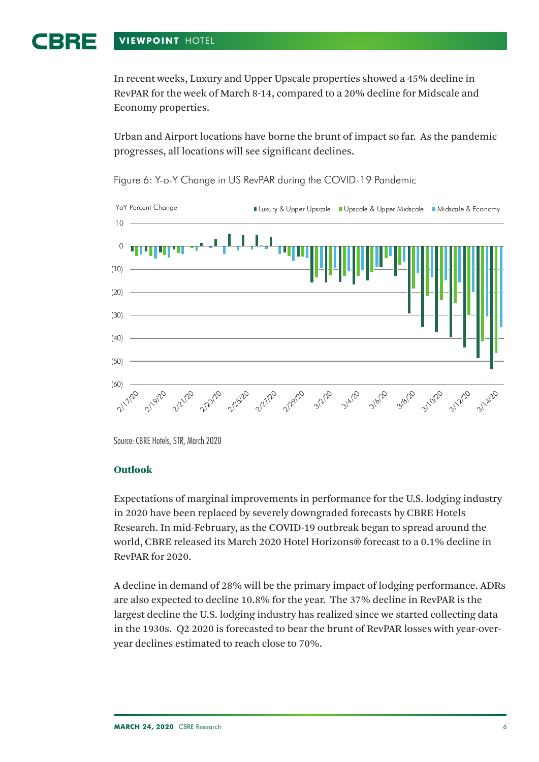#### BRE **VIEWPOINT** HOTEL

In recent weeks, Luxury and Upper Upscale properties showed a 45% decline in RevPAR for the week of March 8-14, compared to a 20% decline for Midscale and Economy properties.

Urban and Airport locations have borne the brunt of impact so far. As the pandemic progresses, all locations will see significant declines.



Figure 6: Y-o-Y Change in US RevPAR during the COVID-19 Pandemic

Source: CBRE Hotels, STR, March 2020

# **Outlook**

Expectations of marginal improvements in performance for the U.S. lodging industry in 2020 have been replaced by severely downgraded forecasts by CBRE Hotels Research. In mid-February, as the COVID-19 outbreak began to spread around the world, CBRE released its March 2020 Hotel Horizons® forecast to a 0.1% decline in RevPAR for 2020.

A decline in demand of 28% will be the primary impact of lodging performance. ADRs are also expected to decline 10.8% for the year. The 37% decline in RevPAR is the largest decline the U.S. lodging industry has realized since we started collecting data in the 1930s. Q2 2020 is forecasted to bear the brunt of RevPAR losses with year-overyear declines estimated to reach close to 70%.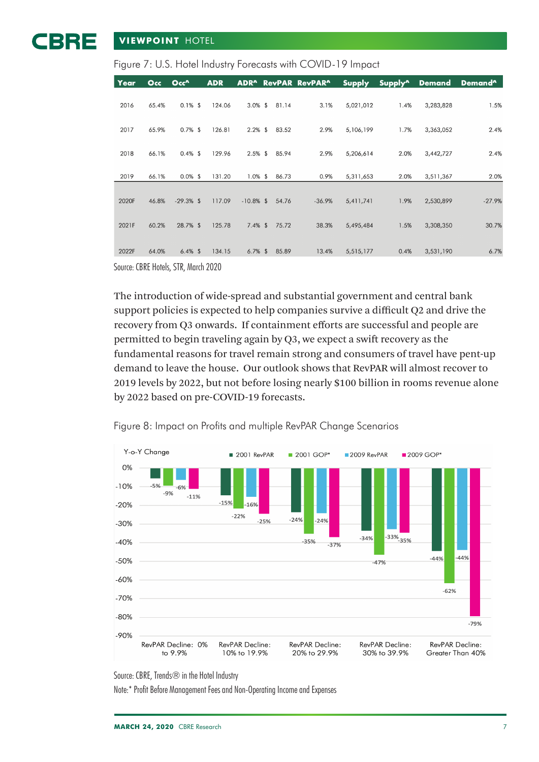## BBE **VIEWPOINT** HOTEL

| Figure 7: U.S. Hotel Industry Forecasts with COVID-19 Impact |  |
|--------------------------------------------------------------|--|

| Year  | Occ   | Occ <sup>^</sup> | <b>ADR</b> |              |       | <b>ADR<sup>^</sup></b> RevPAR RevPAR <sup>^</sup> | <b>Supply</b> | Supply <sup>^</sup> | <b>Demand</b> | Demand <sup>^</sup> |
|-------|-------|------------------|------------|--------------|-------|---------------------------------------------------|---------------|---------------------|---------------|---------------------|
| 2016  | 65.4% | $0.1\%$ \$       | 124.06     | $3.0\%$ \$   | 81.14 | 3.1%                                              | 5,021,012     | 1.4%                | 3,283,828     | 1.5%                |
| 2017  | 65.9% | $0.7\%$ \$       | 126.81     | $2.2\%$ \$   | 83.52 | 2.9%                                              | 5,106,199     | 1.7%                | 3,363,052     | 2.4%                |
| 2018  | 66.1% | $0.4\%$ \$       | 129.96     | $2.5\%$ \$   | 85.94 | 2.9%                                              | 5,206,614     | 2.0%                | 3,442,727     | 2.4%                |
| 2019  | 66.1% | $0.0\%$ \$       | 131.20     | $1.0\%$ \$   | 86.73 | 0.9%                                              | 5,311,653     | 2.0%                | 3,511,367     | 2.0%                |
| 2020F | 46.8% | $-29.3%$ \$      | 117.09     | $-10.8\%$ \$ | 54.76 | $-36.9%$                                          | 5,411,741     | 1.9%                | 2,530,899     | $-27.9%$            |
| 2021F | 60.2% | 28.7% \$         | 125.78     | $7.4\%$ \$   | 75.72 | 38.3%                                             | 5,495,484     | 1.5%                | 3,308,350     | 30.7%               |
| 2022F | 64.0% | $6.4\%$ \$       | 134.15     | $6.7\%$ \$   | 85.89 | 13.4%                                             | 5,515,177     | 0.4%                | 3,531,190     | 6.7%                |

Source: CBRE Hotels, STR, March 2020

The introduction of wide-spread and substantial government and central bank support policies is expected to help companies survive a difficult Q2 and drive the recovery from Q3 onwards. If containment efforts are successful and people are permitted to begin traveling again by Q3, we expect a swift recovery as the fundamental reasons for travel remain strong and consumers of travel have pent-up demand to leave the house. Our outlook shows that RevPAR will almost recover to 2019 levels by 2022, but not before losing nearly \$100 billion in rooms revenue alone by 2022 based on pre-COVID-19 forecasts.



Figure 8: Impact on Profits and multiple RevPAR Change Scenarios

Source: CBRE, Trends<sup>®</sup> in the Hotel Industry

Note:\* Profit Before Management Fees and Non-Operating Income and Expenses